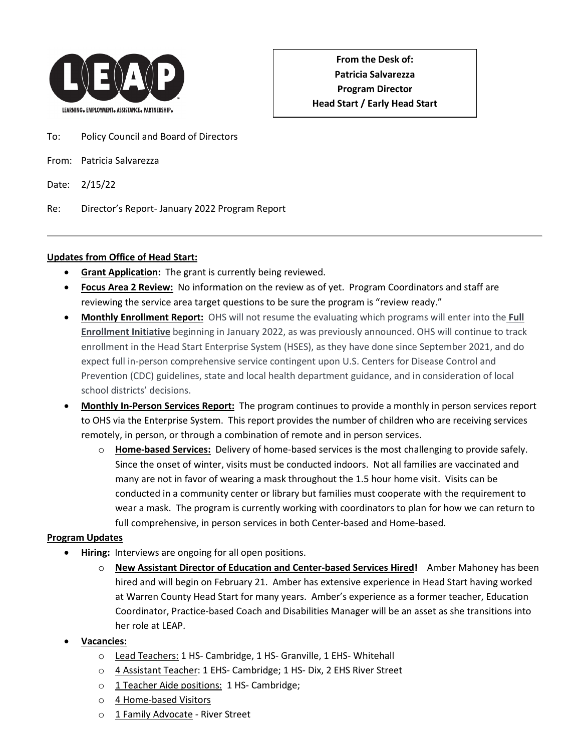

- To: Policy Council and Board of Directors
- From: Patricia Salvarezza
- Date: 2/15/22
- Re: Director's Report- January 2022 Program Report

#### **Updates from Office of Head Start:**

- **Grant Application:** The grant is currently being reviewed.
- **Focus Area 2 Review:** No information on the review as of yet. Program Coordinators and staff are reviewing the service area target questions to be sure the program is "review ready."
- **Monthly Enrollment Report:** OHS will not resume the evaluating which programs will enter into the **Full Enrollment Initiative** beginning in January 2022, as was previously announced. OHS will continue to track enrollment in the Head Start Enterprise System (HSES), as they have done since September 2021, and do expect full in-person comprehensive service contingent upon U.S. Centers for Disease Control and Prevention (CDC) guidelines, state and local health department guidance, and in consideration of local school districts' decisions.
- **Monthly In-Person Services Report:** The program continues to provide a monthly in person services report to OHS via the Enterprise System. This report provides the number of children who are receiving services remotely, in person, or through a combination of remote and in person services.
	- o **Home-based Services:** Delivery of home-based services is the most challenging to provide safely. Since the onset of winter, visits must be conducted indoors. Not all families are vaccinated and many are not in favor of wearing a mask throughout the 1.5 hour home visit. Visits can be conducted in a community center or library but families must cooperate with the requirement to wear a mask. The program is currently working with coordinators to plan for how we can return to full comprehensive, in person services in both Center-based and Home-based.

#### **Program Updates**

- **Hiring:** Interviews are ongoing for all open positions.
	- o **New Assistant Director of Education and Center-based Services Hired!** Amber Mahoney has been hired and will begin on February 21. Amber has extensive experience in Head Start having worked at Warren County Head Start for many years. Amber's experience as a former teacher, Education Coordinator, Practice-based Coach and Disabilities Manager will be an asset as she transitions into her role at LEAP.
- **Vacancies:**
	- o Lead Teachers: 1 HS- Cambridge, 1 HS- Granville, 1 EHS- Whitehall
	- o 4 Assistant Teacher: 1 EHS- Cambridge; 1 HS- Dix, 2 EHS River Street
	- o 1 Teacher Aide positions: 1 HS- Cambridge;
	- o 4 Home-based Visitors
	- o 1 Family Advocate River Street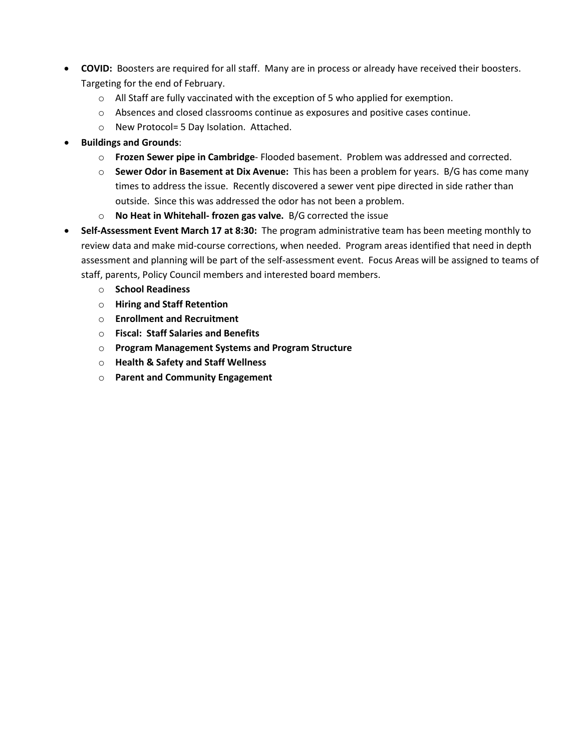- **COVID:** Boosters are required for all staff. Many are in process or already have received their boosters. Targeting for the end of February.
	- $\circ$  All Staff are fully vaccinated with the exception of 5 who applied for exemption.
	- $\circ$  Absences and closed classrooms continue as exposures and positive cases continue.
	- o New Protocol= 5 Day Isolation. Attached.
- **Buildings and Grounds**:
	- o **Frozen Sewer pipe in Cambridge** Flooded basement. Problem was addressed and corrected.
	- o **Sewer Odor in Basement at Dix Avenue:** This has been a problem for years. B/G has come many times to address the issue. Recently discovered a sewer vent pipe directed in side rather than outside. Since this was addressed the odor has not been a problem.
	- o **No Heat in Whitehall- frozen gas valve.** B/G corrected the issue
- **Self-Assessment Event March 17 at 8:30:** The program administrative team has been meeting monthly to review data and make mid-course corrections, when needed. Program areas identified that need in depth assessment and planning will be part of the self-assessment event. Focus Areas will be assigned to teams of staff, parents, Policy Council members and interested board members.
	- o **School Readiness**
	- o **Hiring and Staff Retention**
	- o **Enrollment and Recruitment**
	- o **Fiscal: Staff Salaries and Benefits**
	- o **Program Management Systems and Program Structure**
	- o **Health & Safety and Staff Wellness**
	- o **Parent and Community Engagement**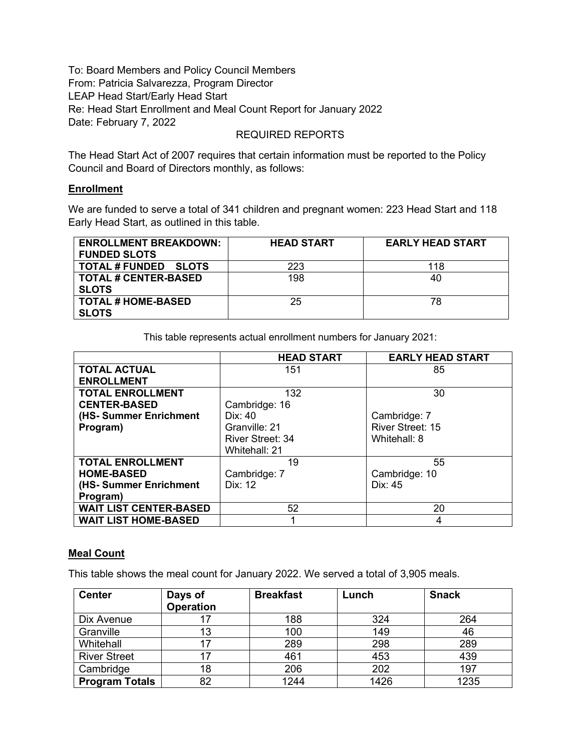To: Board Members and Policy Council Members From: Patricia Salvarezza, Program Director LEAP Head Start/Early Head Start Re: Head Start Enrollment and Meal Count Report for January 2022 Date: February 7, 2022

REQUIRED REPORTS

The Head Start Act of 2007 requires that certain information must be reported to the Policy Council and Board of Directors monthly, as follows:

#### **Enrollment**

We are funded to serve a total of 341 children and pregnant women: 223 Head Start and 118 Early Head Start, as outlined in this table.

| <b>ENROLLMENT BREAKDOWN:</b><br><b>FUNDED SLOTS</b> | <b>HEAD START</b> | <b>EARLY HEAD START</b> |
|-----------------------------------------------------|-------------------|-------------------------|
| <b>TOTAL # FUNDED SLOTS</b>                         | 223               | 118                     |
| <b>TOTAL # CENTER-BASED</b>                         | 198               | 40                      |
| <b>SLOTS</b>                                        |                   |                         |
| <b>TOTAL # HOME-BASED</b>                           | 25                | 78                      |
| <b>SLOTS</b>                                        |                   |                         |

This table represents actual enrollment numbers for January 2021:

|                               | <b>HEAD START</b> | <b>EARLY HEAD START</b> |
|-------------------------------|-------------------|-------------------------|
| <b>TOTAL ACTUAL</b>           | 151               | 85                      |
| <b>ENROLLMENT</b>             |                   |                         |
| <b>TOTAL ENROLLMENT</b>       | 132               | 30                      |
| <b>CENTER-BASED</b>           | Cambridge: 16     |                         |
| (HS- Summer Enrichment        | Dix: $40$         | Cambridge: 7            |
| Program)                      | Granville: 21     | <b>River Street: 15</b> |
|                               | River Street: 34  | Whitehall: 8            |
|                               | Whitehall: 21     |                         |
| <b>TOTAL ENROLLMENT</b>       | 19                | 55                      |
| <b>HOME-BASED</b>             | Cambridge: 7      | Cambridge: 10           |
| (HS- Summer Enrichment        | Dix: 12           | Dix: $45$               |
| Program)                      |                   |                         |
| <b>WAIT LIST CENTER-BASED</b> | 52                | 20                      |
| <b>WAIT LIST HOME-BASED</b>   |                   | 4                       |

#### **Meal Count**

This table shows the meal count for January 2022. We served a total of 3,905 meals.

| <b>Center</b>         | Days of          | <b>Breakfast</b> | Lunch | <b>Snack</b> |
|-----------------------|------------------|------------------|-------|--------------|
|                       | <b>Operation</b> |                  |       |              |
| Dix Avenue            |                  | 188              | 324   | 264          |
| Granville             | 13               | 100              | 149   | 46           |
| Whitehall             |                  | 289              | 298   | 289          |
| <b>River Street</b>   |                  | 461              | 453   | 439          |
| Cambridge             | 18               | 206              | 202   | 197          |
| <b>Program Totals</b> | 82               | 1244             | 1426  | 1235         |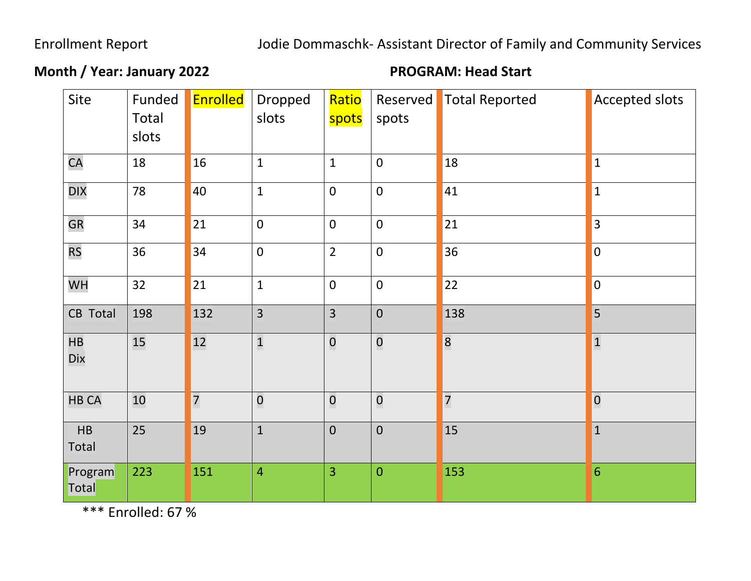# Enrollment Report Jodie Dommaschk- Assistant Director of Family and Community Services

# **Month / Year: January 2022 PROGRAM: Head Start**

| Site             | Funded<br>Total<br>slots | <b>Enrolled</b> | Dropped<br>slots | Ratio<br>spots          | Reserved<br>spots | <b>Total Reported</b> | <b>Accepted slots</b>   |
|------------------|--------------------------|-----------------|------------------|-------------------------|-------------------|-----------------------|-------------------------|
|                  |                          |                 |                  |                         |                   |                       |                         |
| CA               | 18                       | 16              | $\mathbf{1}$     | $\mathbf{1}$            | $\mathbf 0$       | <b>18</b>             | $\vert$ 1               |
| <b>DIX</b>       | 78                       | 40              | $\mathbf{1}$     | $\mathbf 0$             | $\mathbf 0$       | 41                    | $\vert$ 1               |
| <b>GR</b>        | 34                       | 21              | $\mathbf 0$      | $\overline{0}$          | $\overline{0}$    | 21                    | $ 3\rangle$             |
| <b>RS</b>        | 36                       | 34              | $\mathbf 0$      | $\overline{2}$          | $\mathbf 0$       | 36                    | $\overline{0}$          |
| WH               | 32                       | 21              | $\mathbf{1}$     | $\overline{0}$          | $\overline{0}$    | 22                    | $\overline{0}$          |
| CB Total         | 198                      | 132             | $\overline{3}$   | $\overline{3}$          | $\overline{0}$    | 138                   | 5                       |
| HB<br>Dix        | 15                       | 12              | $\mathbf{1}$     | $\mathbf 0$             | $\mathbf 0$       | $\overline{8}$        | $\overline{\mathbf{1}}$ |
| <b>HB CA</b>     | 10                       | $\overline{7}$  | $\overline{0}$   | $\overline{\mathbf{0}}$ | $\overline{0}$    | $\overline{7}$        | $\overline{0}$          |
| HB<br>Total      | 25                       | 19              | $\mathbf 1$      | $\pmb{0}$               | $\pmb{0}$         | 15                    | $\vert$ 1               |
| Program<br>Total | 223                      | 151             | $\overline{4}$   | $\overline{3}$          | $\mathbf{0}$      | 153                   | 6                       |

\*\*\* Enrolled: 67 %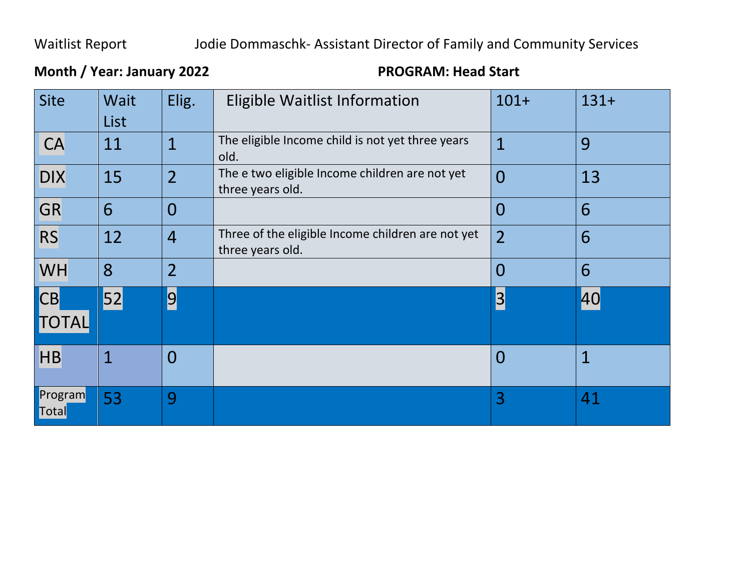## Waitlist Report Jodie Dommaschk- Assistant Director of Family and Community Services

## Site | Wait List Elig. | Eligible Waitlist Information  $101+$  131+  $\overline{CA}$  | 11 | 1 | The eligible Income child is not yet three years old. 1 9  $\overline{DIX}$  | 15 | 2 | The e two eligible Income children are not yet three years old.  $0$  | 13 GR 6 0 0 6  $\overline{\text{RS}}$  12  $\vert$  4 Three of the eligible Income children are not yet three years old.  $2 \mid 6$ WH 8 2 0 6 CB **TOTAL** 52 9 3 40 HB 1 0 0 1 **Program Total** 53 9 3 41

## **Month / Year: January 2022 PROGRAM: Head Start**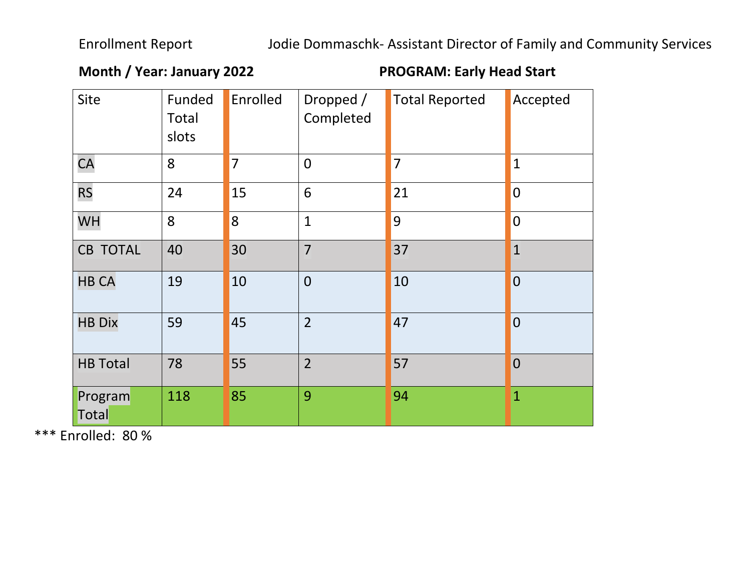**Month / Year: January 2022 PROGRAM: Early Head Start**

| Site             | Funded<br>Total<br>slots | Enrolled       | Dropped /<br>Completed | <b>Total Reported</b> | Accepted                |
|------------------|--------------------------|----------------|------------------------|-----------------------|-------------------------|
| <b>CA</b>        | 8                        | $\overline{7}$ | $\overline{0}$         | $\overline{7}$        | $\mathbf{1}$            |
| <b>RS</b>        | 24                       | 15             | 6                      | 21                    | $\overline{0}$          |
| WH               | 8                        | $\overline{8}$ | $\mathbf{1}$           | 9                     | $\overline{\mathbf{0}}$ |
| <b>CB TOTAL</b>  | 40                       | 30             | $\overline{7}$         | 37                    | $\vert$ 1               |
| <b>HB CA</b>     | 19                       | 10             | $\overline{0}$         | 10                    | $\overline{0}$          |
| <b>HB Dix</b>    | 59                       | 45             | $\overline{2}$         | 47                    | $\overline{0}$          |
| <b>HB Total</b>  | 78                       | 55             | $\overline{2}$         | 57                    | $\overline{0}$          |
| Program<br>Total | 118                      | 85             | 9                      | 94                    | $\overline{1}$          |

\*\*\* Enrolled: 80 %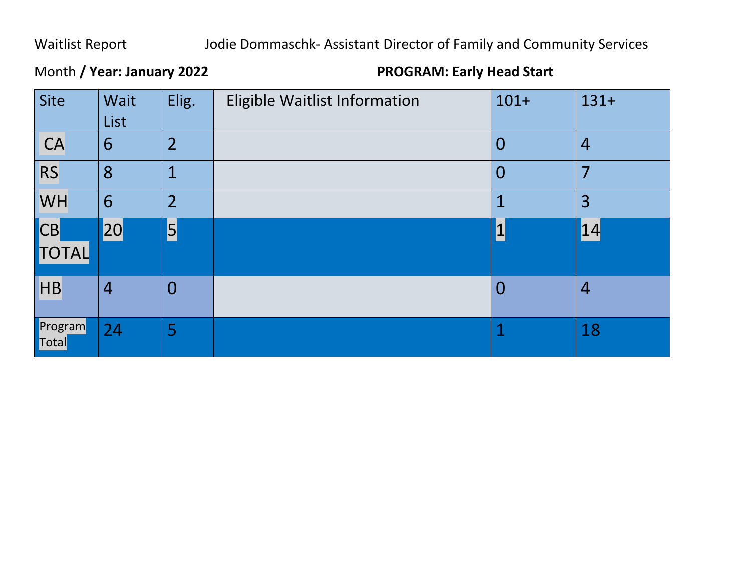# Waitlist Report Jodie Dommaschk- Assistant Director of Family and Community Services

# Month **/ Year: January 2022 PROGRAM: Early Head Start**

| Site               | Wait<br>List   | Elig.          | Eligible Waitlist Information | $101+$         | $131+$         |
|--------------------|----------------|----------------|-------------------------------|----------------|----------------|
| CA                 | 6              | $\overline{2}$ |                               | $\overline{0}$ | $\overline{4}$ |
| <b>RS</b>          | 8              | 1              |                               | $\overline{0}$ | 7              |
| <b>WH</b>          | 6              | $\overline{2}$ |                               |                | 3              |
| <b>CB</b><br>TOTAL | 20             | $\overline{5}$ |                               |                | 14             |
| H                  | $\overline{4}$ | $\overline{0}$ |                               | $\bm{0}$       | $\overline{4}$ |
| Program<br>Total   | 24             | 5              |                               |                | 18             |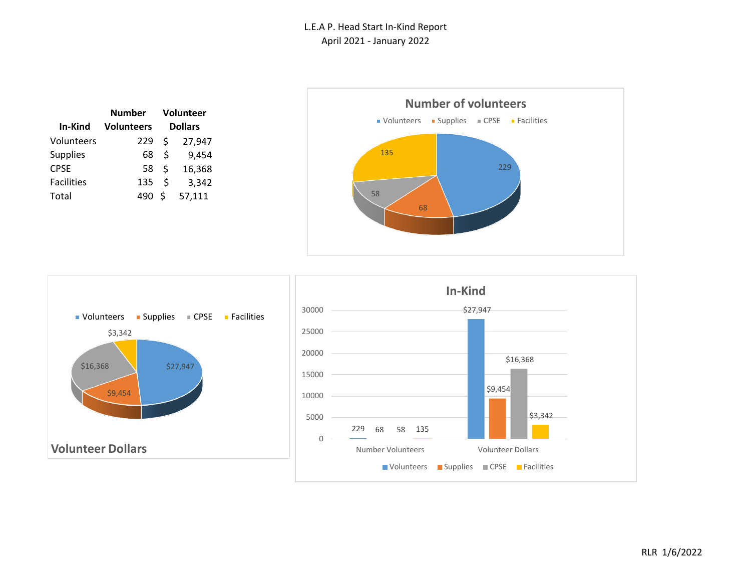|                   | Number            | Volunteer     |                |  |
|-------------------|-------------------|---------------|----------------|--|
| In-Kind           | <b>Volunteers</b> |               | <b>Dollars</b> |  |
| Volunteers        | 229               | \$            | 27,947         |  |
| <b>Supplies</b>   | 68                | Ŝ.            | 9,454          |  |
| <b>CPSE</b>       | 58                | Ŝ.            | 16,368         |  |
| <b>Facilities</b> | 135               | <sup>\$</sup> | 3,342          |  |
| Total             | 490               | Ŝ.            | 57,111         |  |





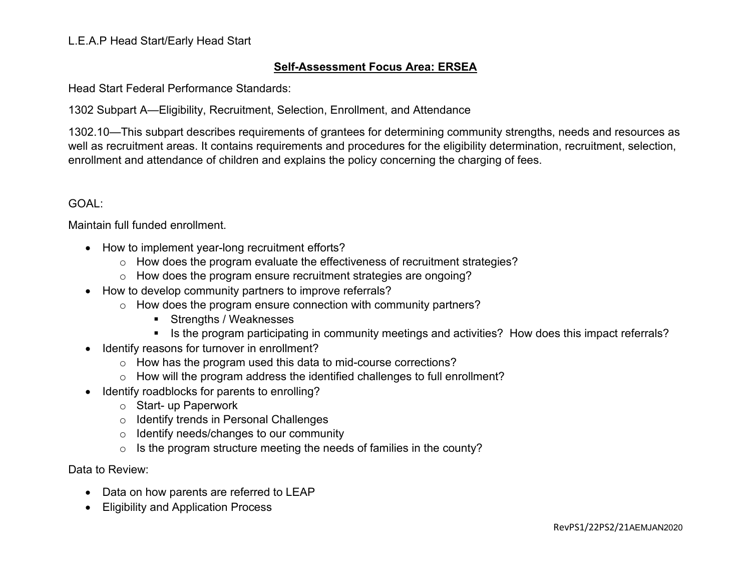### **Self-Assessment Focus Area: ERSEA**

Head Start Federal Performance Standards:

1302 Subpart A—Eligibility, Recruitment, Selection, Enrollment, and Attendance

1302.10—This subpart describes requirements of grantees for determining community strengths, needs and resources as well as recruitment areas. It contains requirements and procedures for the eligibility determination, recruitment, selection, enrollment and attendance of children and explains the policy concerning the charging of fees.

#### GOAL:

Maintain full funded enrollment.

- How to implement year-long recruitment efforts?
	- o How does the program evaluate the effectiveness of recruitment strategies?
	- o How does the program ensure recruitment strategies are ongoing?
- How to develop community partners to improve referrals?
	- o How does the program ensure connection with community partners?
		- **Strengths / Weaknesses**
		- If Is the program participating in community meetings and activities? How does this impact referrals?
- Identify reasons for turnover in enrollment?
	- o How has the program used this data to mid-course corrections?
	- o How will the program address the identified challenges to full enrollment?
- Identify roadblocks for parents to enrolling?
	- o Start- up Paperwork
	- o Identify trends in Personal Challenges
	- o Identify needs/changes to our community
	- o Is the program structure meeting the needs of families in the county?

- Data on how parents are referred to LEAP
- Eligibility and Application Process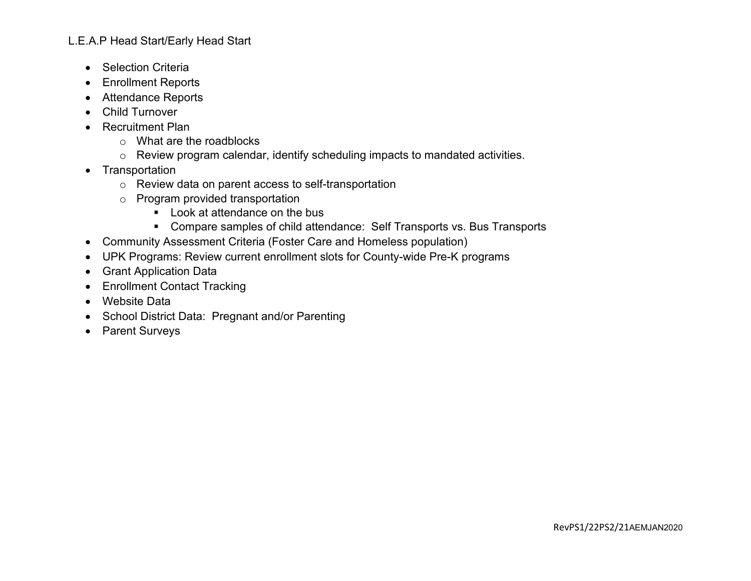- Selection Criteria
- Enrollment Reports
- Attendance Reports
- Child Turnover
- Recruitment Plan
	- o What are the roadblocks
	- o Review program calendar, identify scheduling impacts to mandated activities.
- Transportation
	- o Review data on parent access to self-transportation
	- o Program provided transportation
		- Look at attendance on the bus
		- Compare samples of child attendance: Self Transports vs. Bus Transports
- Community Assessment Criteria (Foster Care and Homeless population)
- UPK Programs: Review current enrollment slots for County-wide Pre-K programs
- Grant Application Data
- Enrollment Contact Tracking
- Website Data
- School District Data: Pregnant and/or Parenting
- Parent Surveys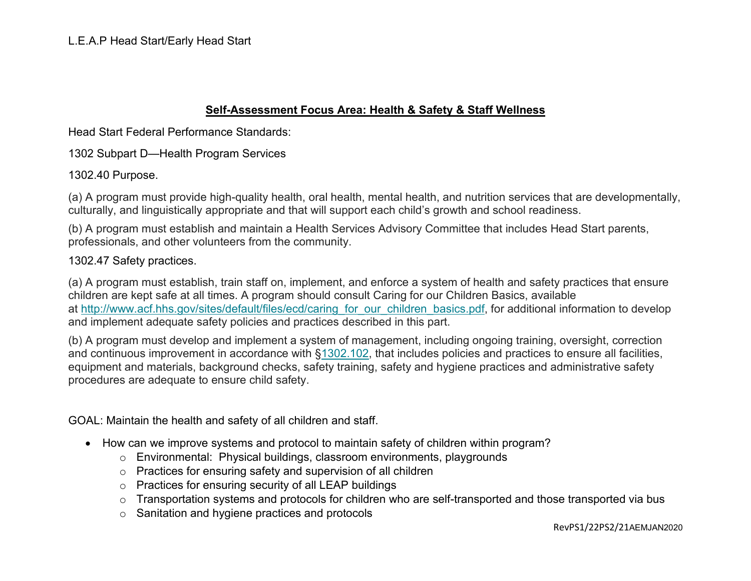### **Self-Assessment Focus Area: Health & Safety & Staff Wellness**

Head Start Federal Performance Standards:

1302 Subpart D—Health Program Services

1302.40 Purpose.

(a) A program must provide high-quality health, oral health, mental health, and nutrition services that are developmentally, culturally, and linguistically appropriate and that will support each child's growth and school readiness.

(b) A program must establish and maintain a Health Services Advisory Committee that includes Head Start parents, professionals, and other volunteers from the community.

1302.47 Safety practices.

(a) A program must establish, train staff on, implement, and enforce a system of health and safety practices that ensure children are kept safe at all times. A program should consult Caring for our Children Basics, available at [http://www.acf.hhs.gov/sites/default/files/ecd/caring\\_for\\_our\\_children\\_basics.pdf,](http://www.acf.hhs.gov/sites/default/files/ecd/caring_for_our_children_basics.pdf) for additional information to develop and implement adequate safety policies and practices described in this part.

(b) A program must develop and implement a system of management, including ongoing training, oversight, correction and continuous improvement in accordance with [§1302.102,](https://eclkc.ohs.acf.hhs.gov/policy/45-cfr-chap-xiii/1302-102-achieving-program-goals) that includes policies and practices to ensure all facilities, equipment and materials, background checks, safety training, safety and hygiene practices and administrative safety procedures are adequate to ensure child safety.

GOAL: Maintain the health and safety of all children and staff.

- How can we improve systems and protocol to maintain safety of children within program?
	- o Environmental: Physical buildings, classroom environments, playgrounds
	- o Practices for ensuring safety and supervision of all children
	- o Practices for ensuring security of all LEAP buildings
	- o Transportation systems and protocols for children who are self-transported and those transported via bus
	- o Sanitation and hygiene practices and protocols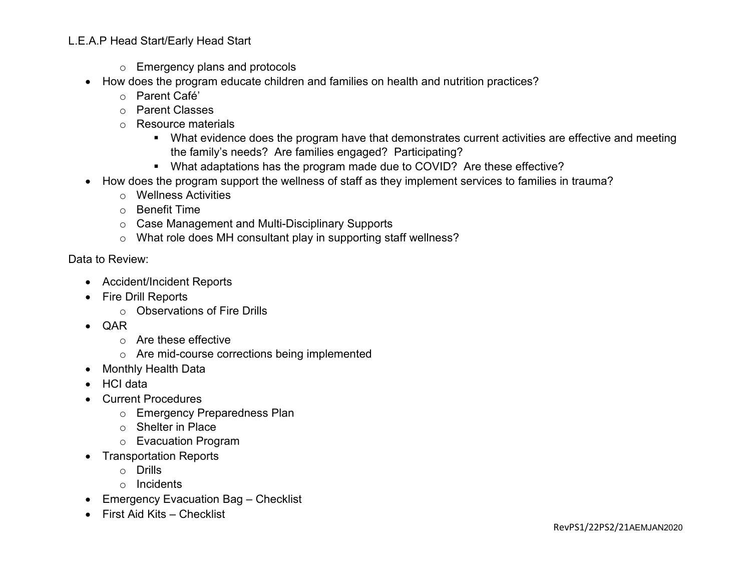- o Emergency plans and protocols
- How does the program educate children and families on health and nutrition practices?
	- o Parent Café'
	- o Parent Classes
	- o Resource materials
		- What evidence does the program have that demonstrates current activities are effective and meeting the family's needs? Are families engaged? Participating?
		- What adaptations has the program made due to COVID? Are these effective?
- How does the program support the wellness of staff as they implement services to families in trauma?
	- o Wellness Activities
	- o Benefit Time
	- o Case Management and Multi-Disciplinary Supports
	- o What role does MH consultant play in supporting staff wellness?

- Accident/Incident Reports
- Fire Drill Reports
	- o Observations of Fire Drills
- QAR
	- o Are these effective
	- o Are mid-course corrections being implemented
- Monthly Health Data
- HCI data
- Current Procedures
	- o Emergency Preparedness Plan
	- o Shelter in Place
	- o Evacuation Program
- Transportation Reports
	- o Drills
	- o Incidents
- Emergency Evacuation Bag Checklist
- First Aid Kits Checklist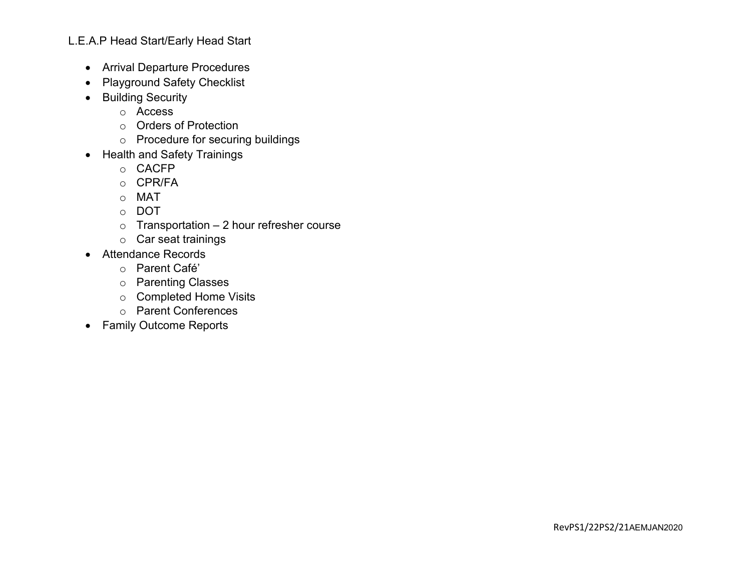- Arrival Departure Procedures
- Playground Safety Checklist
- Building Security
	- o Access
	- o Orders of Protection
	- o Procedure for securing buildings
- Health and Safety Trainings
	- o CACFP
	- o CPR/FA
	- o MAT
	- o DOT
	- $\circ$  Transportation 2 hour refresher course
	- o Car seat trainings
- Attendance Records
	- o Parent Café'
	- o Parenting Classes
	- o Completed Home Visits
	- o Parent Conferences
- Family Outcome Reports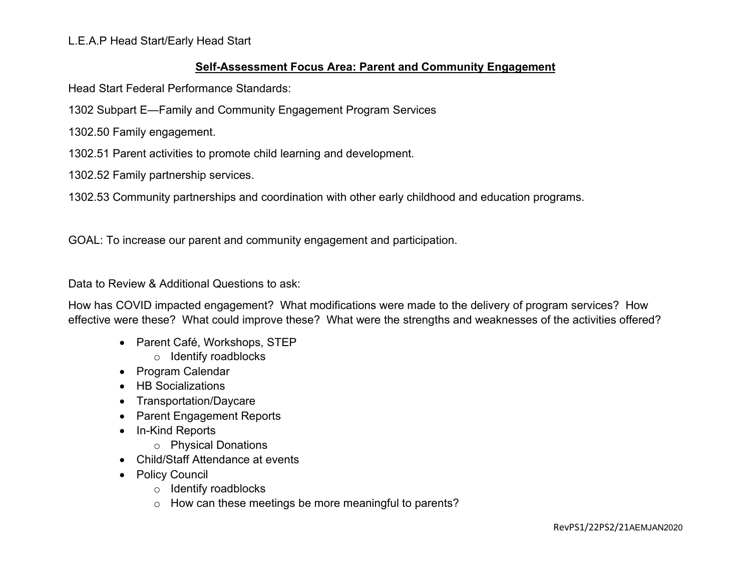#### **Self-Assessment Focus Area: Parent and Community Engagement**

Head Start Federal Performance Standards:

1302 Subpart E—Family and Community Engagement Program Services

1302.50 Family engagement.

1302.51 Parent activities to promote child learning and development.

1302.52 Family partnership services.

1302.53 Community partnerships and coordination with other early childhood and education programs.

GOAL: To increase our parent and community engagement and participation.

Data to Review & Additional Questions to ask:

How has COVID impacted engagement? What modifications were made to the delivery of program services? How effective were these? What could improve these? What were the strengths and weaknesses of the activities offered?

- Parent Café, Workshops, STEP
	- o Identify roadblocks
- Program Calendar
- HB Socializations
- Transportation/Daycare
- Parent Engagement Reports
- In-Kind Reports
	- o Physical Donations
- Child/Staff Attendance at events
- Policy Council
	- o Identify roadblocks
	- o How can these meetings be more meaningful to parents?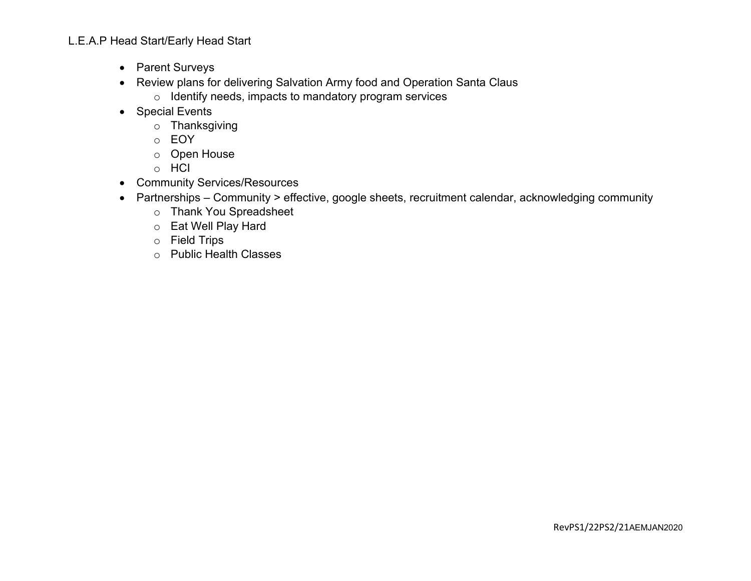- Parent Surveys
- Review plans for delivering Salvation Army food and Operation Santa Claus
	- o Identify needs, impacts to mandatory program services
- Special Events
	- o Thanksgiving
	- o EOY
	- o Open House
	- o HCI
- Community Services/Resources
- Partnerships Community > effective, google sheets, recruitment calendar, acknowledging community
	- o Thank You Spreadsheet
	- o Eat Well Play Hard
	- o Field Trips
	- o Public Health Classes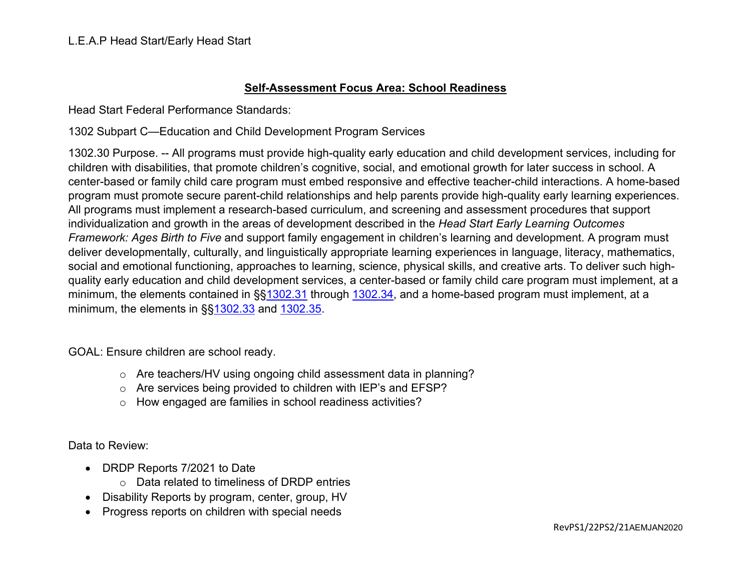#### **Self-Assessment Focus Area: School Readiness**

Head Start Federal Performance Standards:

1302 Subpart C—Education and Child Development Program Services

1302.30 Purpose. -- All programs must provide high-quality early education and child development services, including for children with disabilities, that promote children's cognitive, social, and emotional growth for later success in school. A center-based or family child care program must embed responsive and effective teacher-child interactions. A home-based program must promote secure parent-child relationships and help parents provide high-quality early learning experiences. All programs must implement a research-based curriculum, and screening and assessment procedures that support individualization and growth in the areas of development described in the *Head Start Early Learning Outcomes Framework: Ages Birth to Five* and support family engagement in children's learning and development. A program must deliver developmentally, culturally, and linguistically appropriate learning experiences in language, literacy, mathematics, social and emotional functioning, approaches to learning, science, physical skills, and creative arts. To deliver such highquality early education and child development services, a center-based or family child care program must implement, at a minimum, the elements contained in §[§1302.31](https://eclkc.ohs.acf.hhs.gov/policy/45-cfr-chap-xiii/1302-31-teaching-learning-environment) through [1302.34,](https://eclkc.ohs.acf.hhs.gov/policy/45-cfr-chap-xiii/1302-34-parent-family-engagement-education-child-development-services) and a home-based program must implement, at a minimum, the elements in §[§1302.33](https://eclkc.ohs.acf.hhs.gov/policy/45-cfr-chap-xiii/1302-33-child-screenings-assessments) and [1302.35.](https://eclkc.ohs.acf.hhs.gov/policy/45-cfr-chap-xiii/1302-35-education-home-based-programs)

GOAL: Ensure children are school ready.

- o Are teachers/HV using ongoing child assessment data in planning?
- o Are services being provided to children with IEP's and EFSP?
- o How engaged are families in school readiness activities?

- DRDP Reports 7/2021 to Date
	- o Data related to timeliness of DRDP entries
- Disability Reports by program, center, group, HV
- Progress reports on children with special needs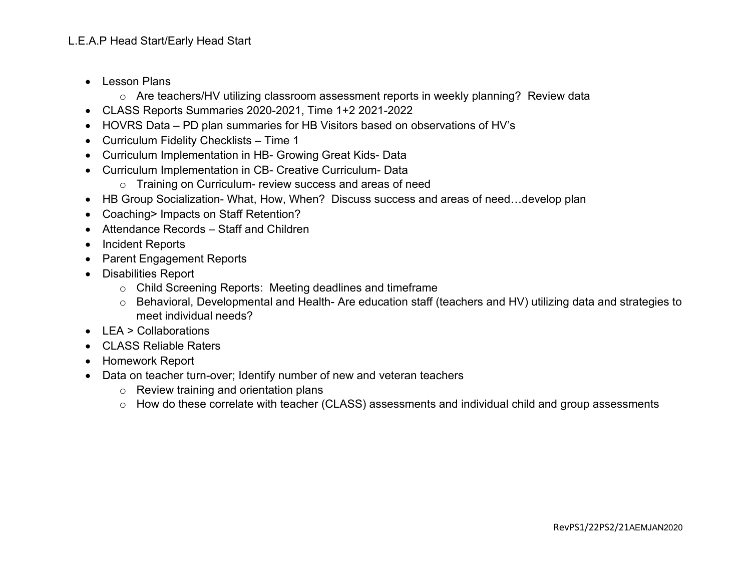- Lesson Plans
	- o Are teachers/HV utilizing classroom assessment reports in weekly planning? Review data
- CLASS Reports Summaries 2020-2021, Time 1+2 2021-2022
- HOVRS Data PD plan summaries for HB Visitors based on observations of HV's
- Curriculum Fidelity Checklists Time 1
- Curriculum Implementation in HB- Growing Great Kids- Data
- Curriculum Implementation in CB- Creative Curriculum- Data
	- o Training on Curriculum- review success and areas of need
- HB Group Socialization- What, How, When? Discuss success and areas of need…develop plan
- Coaching> Impacts on Staff Retention?
- Attendance Records Staff and Children
- Incident Reports
- Parent Engagement Reports
- Disabilities Report
	- o Child Screening Reports: Meeting deadlines and timeframe
	- o Behavioral, Developmental and Health- Are education staff (teachers and HV) utilizing data and strategies to meet individual needs?
- LEA > Collaborations
- CLASS Reliable Raters
- Homework Report
- Data on teacher turn-over; Identify number of new and veteran teachers
	- o Review training and orientation plans
	- o How do these correlate with teacher (CLASS) assessments and individual child and group assessments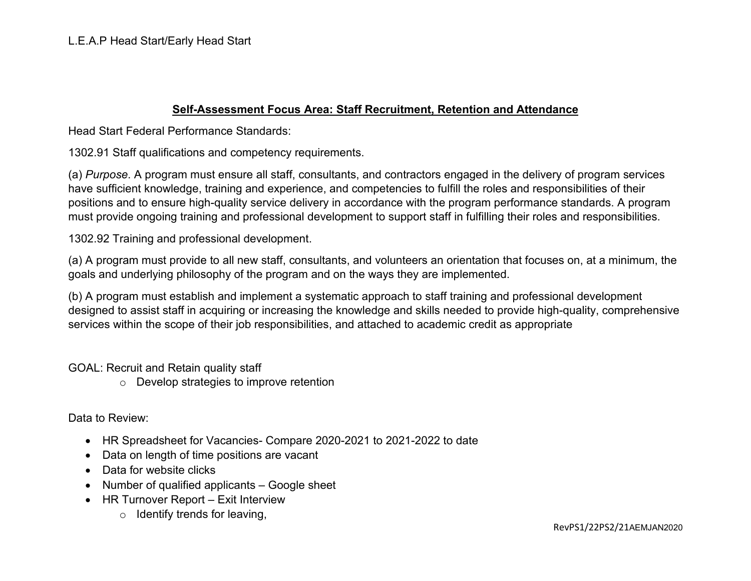#### **Self-Assessment Focus Area: Staff Recruitment, Retention and Attendance**

Head Start Federal Performance Standards:

1302.91 Staff qualifications and competency requirements.

(a) *Purpose*. A program must ensure all staff, consultants, and contractors engaged in the delivery of program services have sufficient knowledge, training and experience, and competencies to fulfill the roles and responsibilities of their positions and to ensure high-quality service delivery in accordance with the program performance standards. A program must provide ongoing training and professional development to support staff in fulfilling their roles and responsibilities.

1302.92 Training and professional development.

(a) A program must provide to all new staff, consultants, and volunteers an orientation that focuses on, at a minimum, the goals and underlying philosophy of the program and on the ways they are implemented.

(b) A program must establish and implement a systematic approach to staff training and professional development designed to assist staff in acquiring or increasing the knowledge and skills needed to provide high-quality, comprehensive services within the scope of their job responsibilities, and attached to academic credit as appropriate

GOAL: Recruit and Retain quality staff

o Develop strategies to improve retention

- HR Spreadsheet for Vacancies- Compare 2020-2021 to 2021-2022 to date
- Data on length of time positions are vacant
- Data for website clicks
- Number of qualified applicants Google sheet
- HR Turnover Report Exit Interview
	- $\circ$  Identify trends for leaving,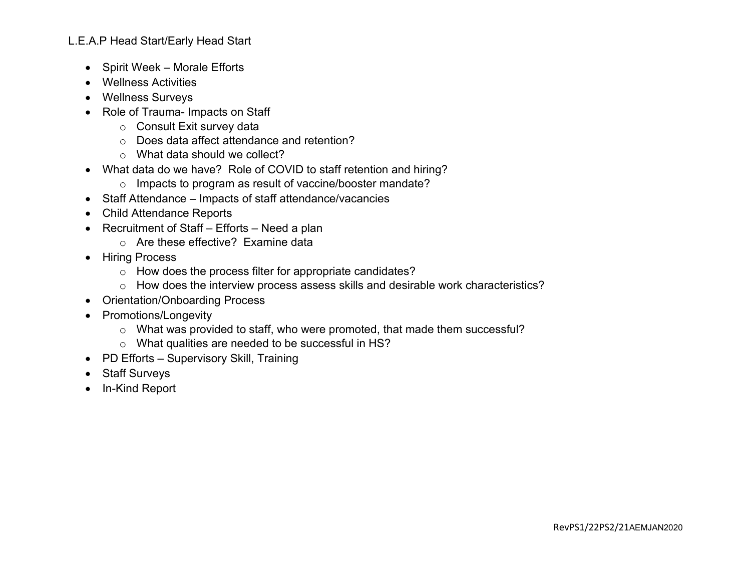- Spirit Week Morale Efforts
- Wellness Activities
- Wellness Surveys
- Role of Trauma- Impacts on Staff
	- o Consult Exit survey data
	- o Does data affect attendance and retention?
	- o What data should we collect?
- What data do we have? Role of COVID to staff retention and hiring?
	- o Impacts to program as result of vaccine/booster mandate?
- Staff Attendance Impacts of staff attendance/vacancies
- Child Attendance Reports
- Recruitment of Staff Efforts Need a plan
	- o Are these effective? Examine data
- Hiring Process
	- o How does the process filter for appropriate candidates?
	- o How does the interview process assess skills and desirable work characteristics?
- Orientation/Onboarding Process
- Promotions/Longevity
	- o What was provided to staff, who were promoted, that made them successful?
	- o What qualities are needed to be successful in HS?
- PD Efforts Supervisory Skill, Training
- Staff Surveys
- In-Kind Report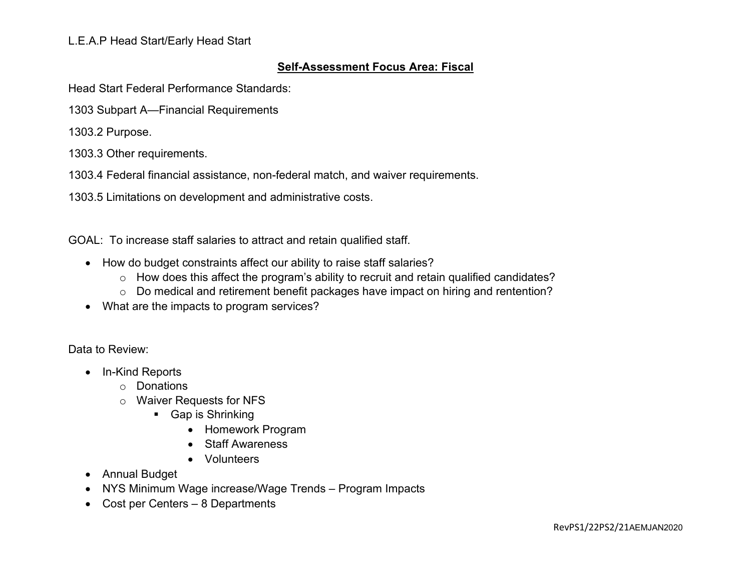### **Self-Assessment Focus Area: Fiscal**

Head Start Federal Performance Standards:

1303 Subpart A—Financial Requirements

1303.2 Purpose.

1303.3 Other requirements.

1303.4 Federal financial assistance, non-federal match, and waiver requirements.

1303.5 Limitations on development and administrative costs.

GOAL: To increase staff salaries to attract and retain qualified staff.

- How do budget constraints affect our ability to raise staff salaries?
	- o How does this affect the program's ability to recruit and retain qualified candidates?
	- o Do medical and retirement benefit packages have impact on hiring and rentention?
- What are the impacts to program services?

- In-Kind Reports
	- o Donations
	- o Waiver Requests for NFS
		- **Gap is Shrinking** 
			- Homework Program
			- Staff Awareness
			- Volunteers
- Annual Budget
- NYS Minimum Wage increase/Wage Trends Program Impacts
- Cost per Centers 8 Departments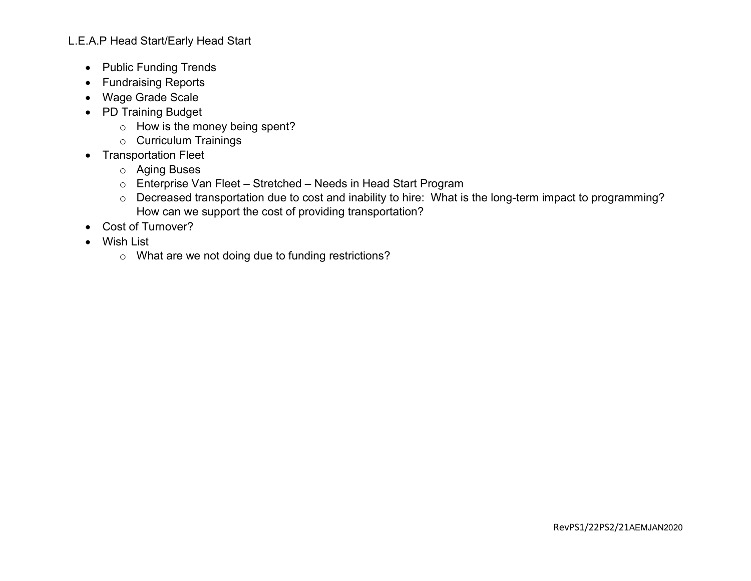- Public Funding Trends
- Fundraising Reports
- Wage Grade Scale
- PD Training Budget
	- o How is the money being spent?
	- o Curriculum Trainings
- Transportation Fleet
	- o Aging Buses
	- o Enterprise Van Fleet Stretched Needs in Head Start Program
	- o Decreased transportation due to cost and inability to hire: What is the long-term impact to programming? How can we support the cost of providing transportation?
- Cost of Turnover?
- Wish List
	- o What are we not doing due to funding restrictions?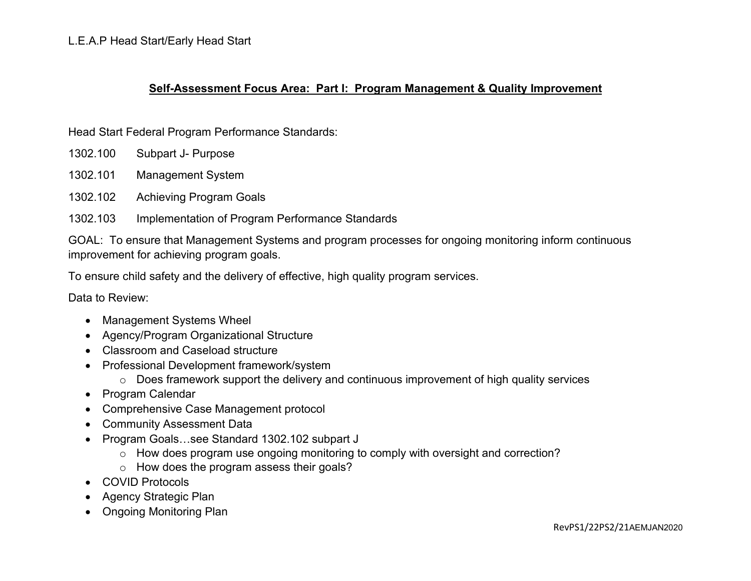#### **Self-Assessment Focus Area: Part I: Program Management & Quality Improvement**

Head Start Federal Program Performance Standards:

- 1302.100 Subpart J- Purpose
- 1302.101 Management System
- 1302.102 Achieving Program Goals
- 1302.103 Implementation of Program Performance Standards

GOAL: To ensure that Management Systems and program processes for ongoing monitoring inform continuous improvement for achieving program goals.

To ensure child safety and the delivery of effective, high quality program services.

- Management Systems Wheel
- Agency/Program Organizational Structure
- Classroom and Caseload structure
- Professional Development framework/system
	- o Does framework support the delivery and continuous improvement of high quality services
- Program Calendar
- Comprehensive Case Management protocol
- Community Assessment Data
- Program Goals…see Standard 1302.102 subpart J
	- o How does program use ongoing monitoring to comply with oversight and correction?
	- o How does the program assess their goals?
- COVID Protocols
- Agency Strategic Plan
- Ongoing Monitoring Plan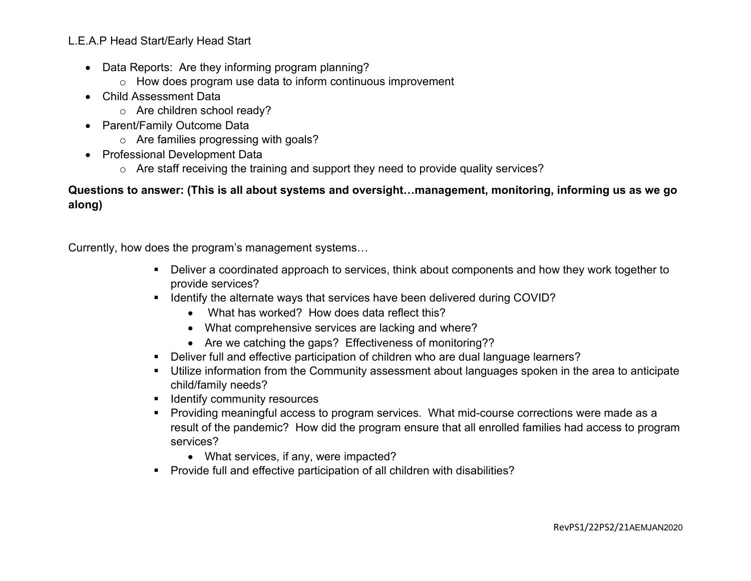- Data Reports: Are they informing program planning?
	- $\circ$  How does program use data to inform continuous improvement
- Child Assessment Data
	- o Are children school ready?
- Parent/Family Outcome Data
	- o Are families progressing with goals?
- Professional Development Data
	- o Are staff receiving the training and support they need to provide quality services?

### **Questions to answer: (This is all about systems and oversight…management, monitoring, informing us as we go along)**

Currently, how does the program's management systems…

- Deliver a coordinated approach to services, think about components and how they work together to provide services?
- Identify the alternate ways that services have been delivered during COVID?
	- What has worked? How does data reflect this?
	- What comprehensive services are lacking and where?
	- Are we catching the gaps? Effectiveness of monitoring??
- Deliver full and effective participation of children who are dual language learners?
- Utilize information from the Community assessment about languages spoken in the area to anticipate child/family needs?
- **If Identify community resources**
- **Providing meaningful access to program services. What mid-course corrections were made as a** result of the pandemic? How did the program ensure that all enrolled families had access to program services?
	- What services, if any, were impacted?
- Provide full and effective participation of all children with disabilities?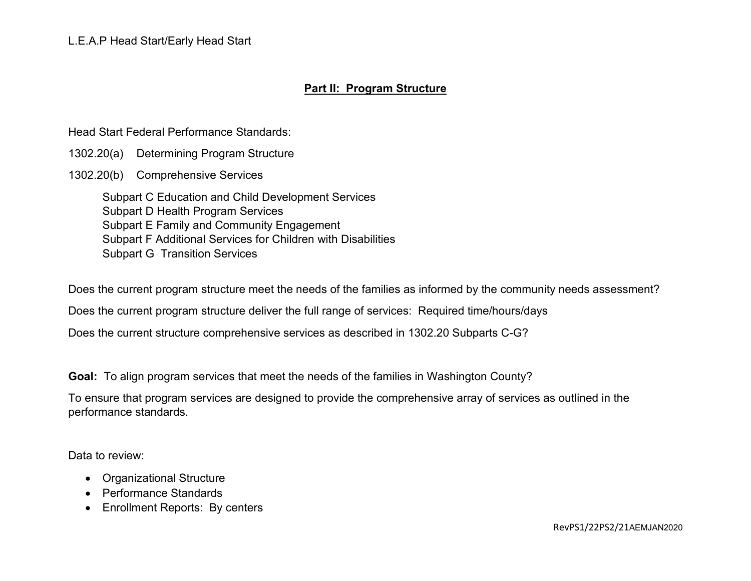#### **Part II: Program Structure**

Head Start Federal Performance Standards:

- 1302.20(a) Determining Program Structure
- 1302.20(b) Comprehensive Services

Subpart C Education and Child Development Services Subpart D Health Program Services Subpart E Family and Community Engagement Subpart F Additional Services for Children with Disabilities Subpart G Transition Services

Does the current program structure meet the needs of the families as informed by the community needs assessment?

Does the current program structure deliver the full range of services: Required time/hours/days

Does the current structure comprehensive services as described in 1302.20 Subparts C-G?

**Goal:** To align program services that meet the needs of the families in Washington County?

To ensure that program services are designed to provide the comprehensive array of services as outlined in the performance standards.

- Organizational Structure
- Performance Standards
- Enrollment Reports: By centers